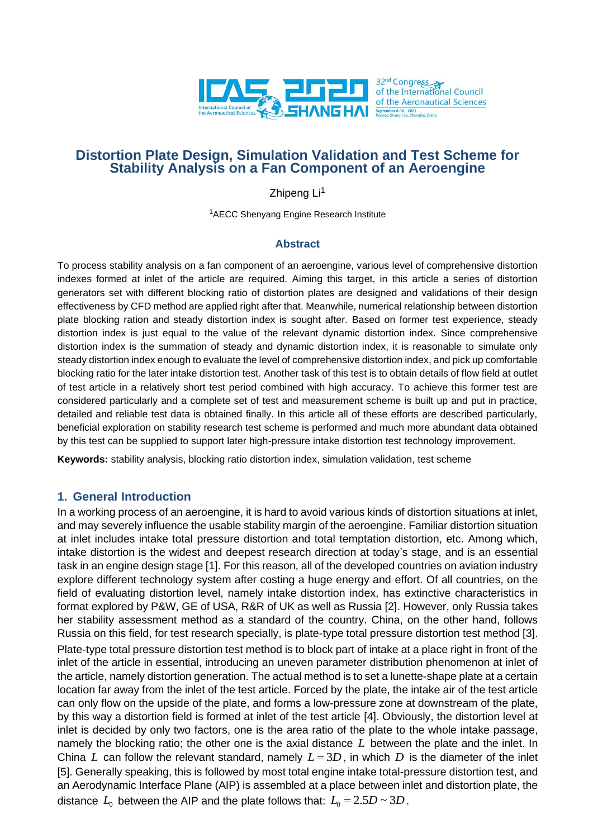

# **Distortion Plate Design, Simulation Validation and Test Scheme for Stability Analysis on a Fan Component of an Aeroengine**

Zhipeng Li<sup>1</sup>

<sup>1</sup>AECC Shenyang Engine Research Institute

### **Abstract**

To process stability analysis on a fan component of an aeroengine, various level of comprehensive distortion indexes formed at inlet of the article are required. Aiming this target, in this article a series of distortion generators set with different blocking ratio of distortion plates are designed and validations of their design effectiveness by CFD method are applied right after that. Meanwhile, numerical relationship between distortion plate blocking ration and steady distortion index is sought after. Based on former test experience, steady distortion index is just equal to the value of the relevant dynamic distortion index. Since comprehensive distortion index is the summation of steady and dynamic distortion index, it is reasonable to simulate only steady distortion index enough to evaluate the level of comprehensive distortion index, and pick up comfortable blocking ratio for the later intake distortion test. Another task of this test is to obtain details of flow field at outlet of test article in a relatively short test period combined with high accuracy. To achieve this former test are considered particularly and a complete set of test and measurement scheme is built up and put in practice, detailed and reliable test data is obtained finally. In this article all of these efforts are described particularly, beneficial exploration on stability research test scheme is performed and much more abundant data obtained by this test can be supplied to support later high-pressure intake distortion test technology improvement.

**Keywords:** stability analysis, blocking ratio distortion index, simulation validation, test scheme

### **1. General Introduction**

In a working process of an aeroengine, it is hard to avoid various kinds of distortion situations at inlet, and may severely influence the usable stability margin of the aeroengine. Familiar distortion situation at inlet includes intake total pressure distortion and total temptation distortion, etc. Among which, intake distortion is the widest and deepest research direction at today's stage, and is an essential task in an engine design stage [1]. For this reason, all of the developed countries on aviation industry explore different technology system after costing a huge energy and effort. Of all countries, on the field of evaluating distortion level, namely intake distortion index, has extinctive characteristics in format explored by P&W, GE of USA, R&R of UK as well as Russia [2]. However, only Russia takes her stability assessment method as a standard of the country. China, on the other hand, follows Russia on this field, for test research specially, is plate-type total pressure distortion test method [3]. Plate-type total pressure distortion test method is to block part of intake at a place right in front of the inlet of the article in essential, introducing an uneven parameter distribution phenomenon at inlet of the article, namely distortion generation. The actual method is to set a lunette-shape plate at a certain location far away from the inlet of the test article. Forced by the plate, the intake air of the test article can only flow on the upside of the plate, and forms a low-pressure zone at downstream of the plate, by this way a distortion field is formed at inlet of the test article [4]. Obviously, the distortion level at inlet is decided by only two factors, one is the area ratio of the plate to the whole intake passage, namely the blocking ratio; the other one is the axial distance *L* between the plate and the inlet. In China L can follow the relevant standard, namely  $L = 3D$ , in which D is the diameter of the inlet [5]. Generally speaking, this is followed by most total engine intake total-pressure distortion test, and an Aerodynamic Interface Plane (AIP) is assembled at a place between inlet and distortion plate, the distance  $L_0$  between the AIP and the plate follows that:  $L_0 = 2.5D \sim 3D$  .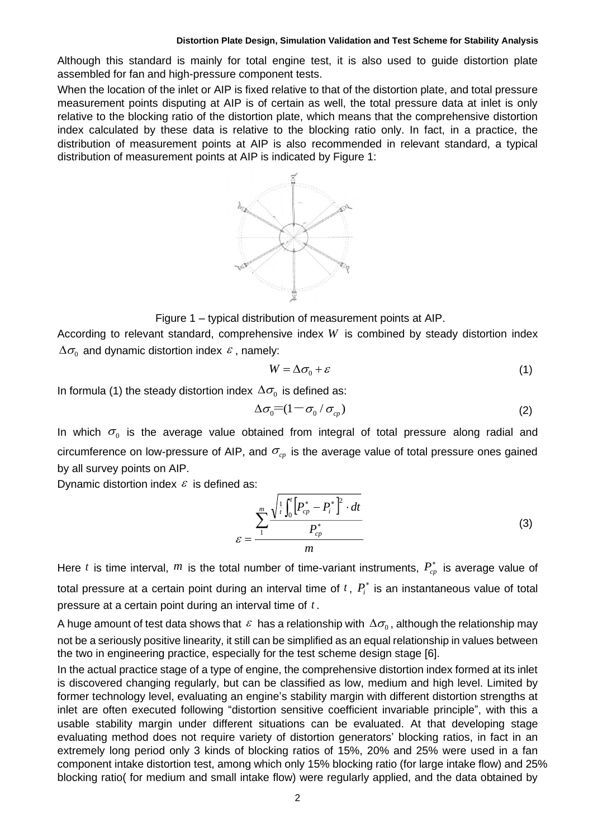Although this standard is mainly for total engine test, it is also used to guide distortion plate assembled for fan and high-pressure component tests.

When the location of the inlet or AIP is fixed relative to that of the distortion plate, and total pressure measurement points disputing at AIP is of certain as well, the total pressure data at inlet is only relative to the blocking ratio of the distortion plate, which means that the comprehensive distortion index calculated by these data is relative to the blocking ratio only. In fact, in a practice, the distribution of measurement points at AIP is also recommended in relevant standard, a typical distribution of measurement points at AIP is indicated by Figure 1:



Figure 1 – typical distribution of measurement points at AIP.

According to relevant standard, comprehensive index *W* is combined by steady distortion index  $\Delta\sigma_{_{\rm 0}}$  and dynamic distortion index  $\,\varepsilon$  , namely:

$$
W = \Delta \sigma_0 + \varepsilon \tag{1}
$$

In formula (1) the steady distortion index  $\Delta\sigma_{_{\textrm{0}}}$  is defined as:

$$
\Delta \sigma_0 = (1 - \sigma_0 / \sigma_{cp})
$$
 (2)

In which  $\sigma_0$  is the average value obtained from integral of total pressure along radial and circumference on low-pressure of AIP, and  $\sigma_{cp}$  is the average value of total pressure ones gained by all survey points on AIP.

Dynamic distortion index  $\varepsilon$  is defined as:

$$
\varepsilon = \frac{\sum_{i=1}^{m} \frac{\sqrt{\frac{1}{t} \int_{0}^{t} \left[ P_{cp}^{*} - P_{i}^{*} \right]^{2} \cdot dt}}{P_{cp}^{*}}}{m}
$$
(3)

Here t is time interval,  $m$  is the total number of time-variant instruments,  $P_{cp}^*$  is average value of total pressure at a certain point during an interval time of  $t$  ,  $P_i^*$  is an instantaneous value of total pressure at a certain point during an interval time of *t* .

A huge amount of test data shows that  $\,\varepsilon\,$  has a relationship with  $\,\Delta\sigma_{\!_0}$ , although the relationship may not be a seriously positive linearity, it still can be simplified as an equal relationship in values between the two in engineering practice, especially for the test scheme design stage [6].

In the actual practice stage of a type of engine, the comprehensive distortion index formed at its inlet is discovered changing regularly, but can be classified as low, medium and high level. Limited by former technology level, evaluating an engine's stability margin with different distortion strengths at inlet are often executed following "distortion sensitive coefficient invariable principle", with this a usable stability margin under different situations can be evaluated. At that developing stage evaluating method does not require variety of distortion generators' blocking ratios, in fact in an extremely long period only 3 kinds of blocking ratios of 15%, 20% and 25% were used in a fan component intake distortion test, among which only 15% blocking ratio (for large intake flow) and 25% Here *t* is time interval, *m* is the total number of time-variant instruments,  $P_{cp}^*$  is average value of total pressure at a certain point during an interval time of *t*,  $P_i^*$  is an instantaneous value of total pres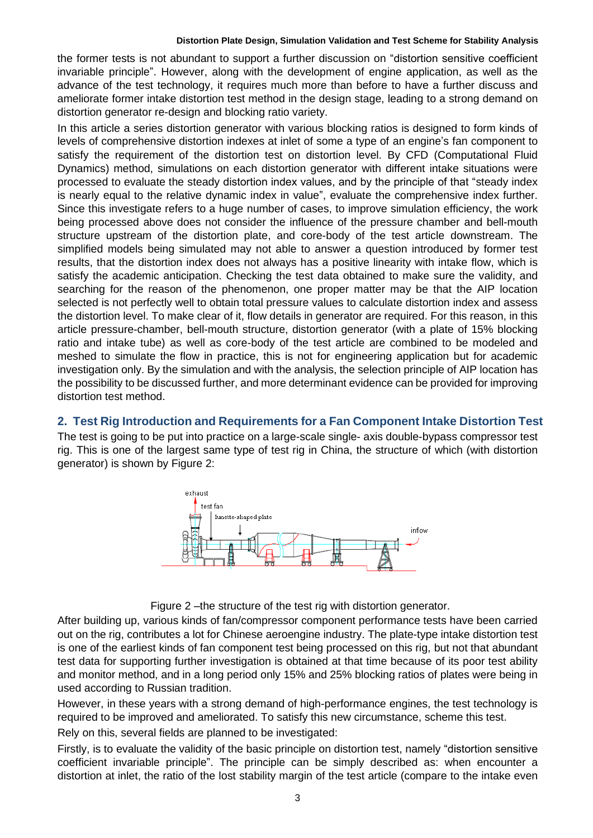the former tests is not abundant to support a further discussion on "distortion sensitive coefficient invariable principle". However, along with the development of engine application, as well as the advance of the test technology, it requires much more than before to have a further discuss and ameliorate former intake distortion test method in the design stage, leading to a strong demand on distortion generator re-design and blocking ratio variety.

In this article a series distortion generator with various blocking ratios is designed to form kinds of levels of comprehensive distortion indexes at inlet of some a type of an engine's fan component to satisfy the requirement of the distortion test on distortion level. By CFD (Computational Fluid Dynamics) method, simulations on each distortion generator with different intake situations were processed to evaluate the steady distortion index values, and by the principle of that "steady index is nearly equal to the relative dynamic index in value", evaluate the comprehensive index further. Since this investigate refers to a huge number of cases, to improve simulation efficiency, the work being processed above does not consider the influence of the pressure chamber and bell-mouth structure upstream of the distortion plate, and core-body of the test article downstream. The simplified models being simulated may not able to answer a question introduced by former test results, that the distortion index does not always has a positive linearity with intake flow, which is satisfy the academic anticipation. Checking the test data obtained to make sure the validity, and searching for the reason of the phenomenon, one proper matter may be that the AIP location selected is not perfectly well to obtain total pressure values to calculate distortion index and assess the distortion level. To make clear of it, flow details in generator are required. For this reason, in this article pressure-chamber, bell-mouth structure, distortion generator (with a plate of 15% blocking ratio and intake tube) as well as core-body of the test article are combined to be modeled and meshed to simulate the flow in practice, this is not for engineering application but for academic investigation only. By the simulation and with the analysis, the selection principle of AIP location has the possibility to be discussed further, and more determinant evidence can be provided for improving distortion test method.

### **2. Test Rig Introduction and Requirements for a Fan Component Intake Distortion Test**

The test is going to be put into practice on a large-scale single- axis double-bypass compressor test rig. This is one of the largest same type of test rig in China, the structure of which (with distortion generator) is shown by Figure 2:



Figure 2 –the structure of the test rig with distortion generator.

After building up, various kinds of fan/compressor component performance tests have been carried out on the rig, contributes a lot for Chinese aeroengine industry. The plate-type intake distortion test is one of the earliest kinds of fan component test being processed on this rig, but not that abundant test data for supporting further investigation is obtained at that time because of its poor test ability and monitor method, and in a long period only 15% and 25% blocking ratios of plates were being in used according to Russian tradition.

However, in these years with a strong demand of high-performance engines, the test technology is required to be improved and ameliorated. To satisfy this new circumstance, scheme this test.

Rely on this, several fields are planned to be investigated:

Firstly, is to evaluate the validity of the basic principle on distortion test, namely "distortion sensitive coefficient invariable principle". The principle can be simply described as: when encounter a distortion at inlet, the ratio of the lost stability margin of the test article (compare to the intake even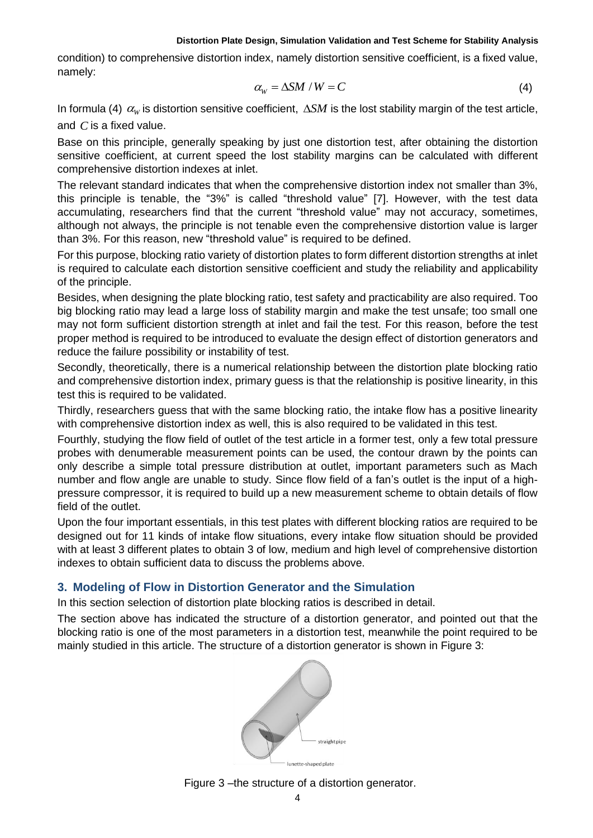condition) to comprehensive distortion index, namely distortion sensitive coefficient, is a fixed value, namely:

$$
\alpha_{\rm w} = \Delta S M / W = C \tag{4}
$$

In formula (4)  $\alpha_{\rm w}$  is distortion sensitive coefficient,  $\Delta SM$  is the lost stability margin of the test article, and  $\emph{C}$  is a fixed value.

Base on this principle, generally speaking by just one distortion test, after obtaining the distortion sensitive coefficient, at current speed the lost stability margins can be calculated with different comprehensive distortion indexes at inlet.

The relevant standard indicates that when the comprehensive distortion index not smaller than 3%, this principle is tenable, the "3%" is called "threshold value" [7]. However, with the test data accumulating, researchers find that the current "threshold value" may not accuracy, sometimes, although not always, the principle is not tenable even the comprehensive distortion value is larger than 3%. For this reason, new "threshold value" is required to be defined.

For this purpose, blocking ratio variety of distortion plates to form different distortion strengths at inlet is required to calculate each distortion sensitive coefficient and study the reliability and applicability of the principle.

Besides, when designing the plate blocking ratio, test safety and practicability are also required. Too big blocking ratio may lead a large loss of stability margin and make the test unsafe; too small one may not form sufficient distortion strength at inlet and fail the test. For this reason, before the test proper method is required to be introduced to evaluate the design effect of distortion generators and reduce the failure possibility or instability of test.

Secondly, theoretically, there is a numerical relationship between the distortion plate blocking ratio and comprehensive distortion index, primary guess is that the relationship is positive linearity, in this test this is required to be validated.

Thirdly, researchers guess that with the same blocking ratio, the intake flow has a positive linearity with comprehensive distortion index as well, this is also required to be validated in this test.

Fourthly, studying the flow field of outlet of the test article in a former test, only a few total pressure probes with denumerable measurement points can be used, the contour drawn by the points can only describe a simple total pressure distribution at outlet, important parameters such as Mach number and flow angle are unable to study. Since flow field of a fan's outlet is the input of a highpressure compressor, it is required to build up a new measurement scheme to obtain details of flow field of the outlet.

Upon the four important essentials, in this test plates with different blocking ratios are required to be designed out for 11 kinds of intake flow situations, every intake flow situation should be provided with at least 3 different plates to obtain 3 of low, medium and high level of comprehensive distortion indexes to obtain sufficient data to discuss the problems above.

## **3. Modeling of Flow in Distortion Generator and the Simulation**

In this section selection of distortion plate blocking ratios is described in detail.

The section above has indicated the structure of a distortion generator, and pointed out that the blocking ratio is one of the most parameters in a distortion test, meanwhile the point required to be mainly studied in this article. The structure of a distortion generator is shown in Figure 3:



Figure 3 –the structure of a distortion generator.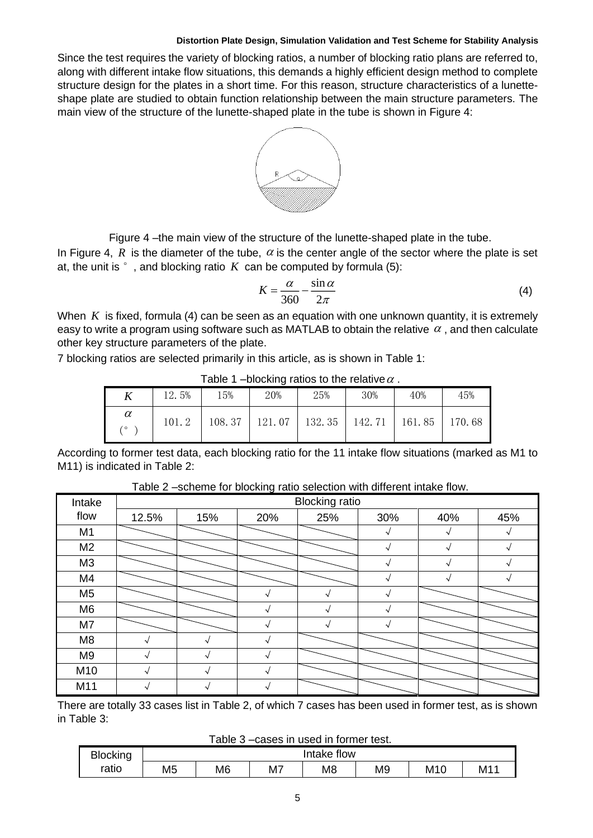Since the test requires the variety of blocking ratios, a number of blocking ratio plans are referred to, along with different intake flow situations, this demands a highly efficient design method to complete structure design for the plates in a short time. For this reason, structure characteristics of a lunetteshape plate are studied to obtain function relationship between the main structure parameters. The main view of the structure of the lunette-shaped plate in the tube is shown in Figure 4:



Figure 4 –the main view of the structure of the lunette-shaped plate in the tube.

In Figure 4, R is the diameter of the tube,  $\alpha$  is the center angle of the sector where the plate is set at, the unit is  $\degree$  , and blocking ratio  $\,K\,$  can be computed by formula (5):

$$
K = \frac{\alpha}{360} - \frac{\sin \alpha}{2\pi} \tag{4}
$$

When  $\,K\,$  is fixed, formula (4) can be seen as an equation with one unknown quantity, it is extremely easy to write a program using software such as MATLAB to obtain the relative  $\,\alpha$  , and then calculate other key structure parameters of the plate.

7 blocking ratios are selected primarily in this article, as is shown in Table 1:

| $1$ able $1$ -biocking ratios to the relative $\alpha$ . |       |        |        |        |                    |        |        |  |  |  |
|----------------------------------------------------------|-------|--------|--------|--------|--------------------|--------|--------|--|--|--|
|                                                          | 12.5% | 15%    | 20%    | 25%    | 30%                | 40%    | 45%    |  |  |  |
| $\alpha$<br>۰٥                                           | 101.2 | 108.37 | 121.07 | 132.35 | 142.71 $\parallel$ | 161.85 | 170.68 |  |  |  |

Table 1 –blocking ratios to the relative  $\alpha$  .

According to former test data, each blocking ratio for the 11 intake flow situations (marked as M1 to M11) is indicated in Table 2:

| Intake         | <b>Blocking ratio</b> |     |          |     |     |        |     |  |
|----------------|-----------------------|-----|----------|-----|-----|--------|-----|--|
| flow           | 12.5%                 | 15% | 20%      | 25% | 30% | 40%    | 45% |  |
| M1             |                       |     |          |     |     |        |     |  |
| M <sub>2</sub> |                       |     |          |     |     | $\sim$ |     |  |
| M3             |                       |     |          |     |     | $\sim$ |     |  |
| M4             |                       |     |          |     |     |        |     |  |
| M <sub>5</sub> |                       |     |          |     |     |        |     |  |
| M <sub>6</sub> |                       |     |          |     |     |        |     |  |
| M7             |                       |     |          |     |     |        |     |  |
| M <sub>8</sub> |                       |     |          |     |     |        |     |  |
| M <sub>9</sub> |                       |     | $\hat{}$ |     |     |        |     |  |
| M10            |                       |     | $\hat{}$ |     |     |        |     |  |
| M11            |                       |     |          |     |     |        |     |  |

Table 2 –scheme for blocking ratio selection with different intake flow.

There are totally 33 cases list in Table 2, of which 7 cases has been used in former test, as is shown in Table 3:

Table 3 –cases in used in former test.

| <b>Blocking</b> | flow<br>Intake <sup>:</sup> |                |    |                |                |                 |    |  |  |
|-----------------|-----------------------------|----------------|----|----------------|----------------|-----------------|----|--|--|
| ratio           | M <sub>5</sub>              | M <sub>6</sub> | M7 | M <sub>8</sub> | M <sub>9</sub> | M <sub>10</sub> | M1 |  |  |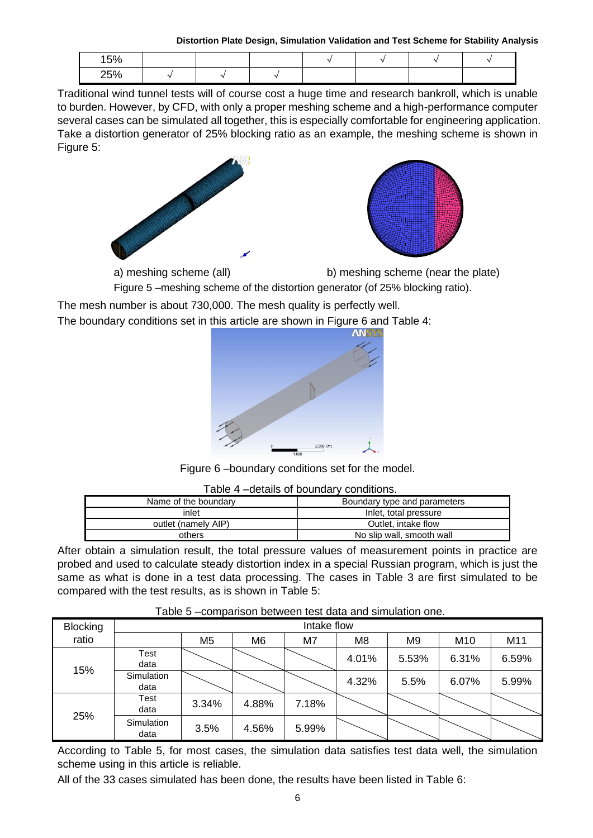**Distortion Plate Design, Simulation Validation and Test Scheme for Stability Analysis**

| 15% |  |  |  |  |
|-----|--|--|--|--|
| 25% |  |  |  |  |

Traditional wind tunnel tests will of course cost a huge time and research bankroll, which is unable to burden. However, by CFD, with only a proper meshing scheme and a high-performance computer several cases can be simulated all together, this is especially comfortable for engineering application. Take a distortion generator of 25% blocking ratio as an example, the meshing scheme is shown in Figure 5:





a) meshing scheme (all) b) meshing scheme (near the plate)

Figure 5 –meshing scheme of the distortion generator (of 25% blocking ratio).

The mesh number is about 730,000. The mesh quality is perfectly well.

The boundary conditions set in this article are shown in Figure 6 and Table 4:



Figure 6 –boundary conditions set for the model.

| Table 4 - details of boundary conditions. |                              |  |  |  |  |  |  |
|-------------------------------------------|------------------------------|--|--|--|--|--|--|
| Name of the boundary                      | Boundary type and parameters |  |  |  |  |  |  |
| inlet                                     | Inlet, total pressure        |  |  |  |  |  |  |
| outlet (namely AIP)                       | Outlet, intake flow          |  |  |  |  |  |  |
| others                                    | No slip wall, smooth wall    |  |  |  |  |  |  |

After obtain a simulation result, the total pressure values of measurement points in practice are probed and used to calculate steady distortion index in a special Russian program, which is just the same as what is done in a test data processing. The cases in Table 3 are first simulated to be compared with the test results, as is shown in Table 5:

| <b>Blocking</b> | Intake flow        |                |                |       |                |                |                 |       |  |  |
|-----------------|--------------------|----------------|----------------|-------|----------------|----------------|-----------------|-------|--|--|
| ratio           |                    | M <sub>5</sub> | M <sub>6</sub> | M7    | M <sub>8</sub> | M <sub>9</sub> | M <sub>10</sub> | M11   |  |  |
| 15%             | Test<br>data       |                |                |       | 4.01%          | 5.53%          | 6.31%           | 6.59% |  |  |
|                 | Simulation<br>data |                |                |       | 4.32%          | 5.5%           | 6.07%           | 5.99% |  |  |
|                 | Test<br>data       | 3.34%          | 4.88%          | 7.18% |                |                |                 |       |  |  |
| 25%             | Simulation<br>data | 3.5%           | 4.56%          | 5.99% |                |                |                 |       |  |  |

## Table 5 –comparison between test data and simulation one.

According to Table 5, for most cases, the simulation data satisfies test data well, the simulation scheme using in this article is reliable.

All of the 33 cases simulated has been done, the results have been listed in Table 6: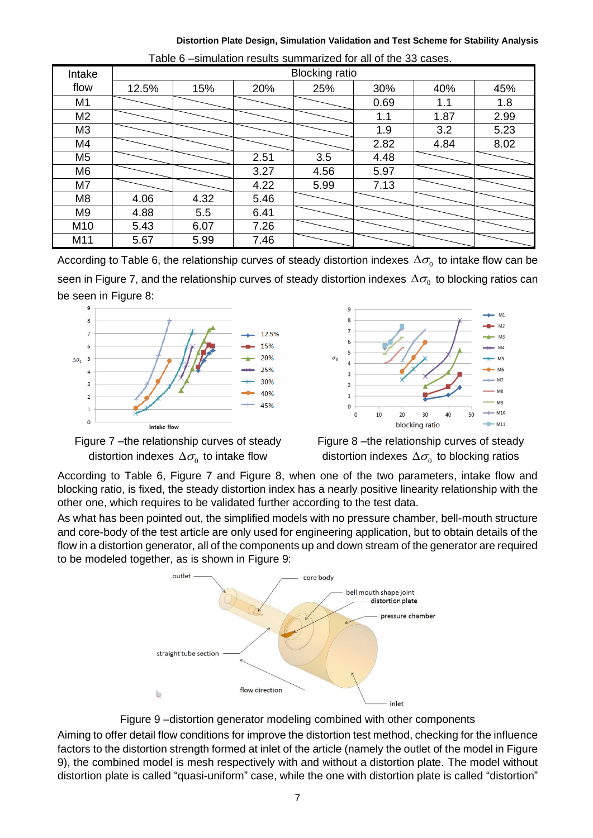**Distortion Plate Design, Simulation Validation and Test Scheme for Stability Analysis**

| Intake         | <b>Blocking ratio</b> |      |      |      |      |      |      |  |
|----------------|-----------------------|------|------|------|------|------|------|--|
| flow           | 12.5%                 | 15%  | 20%  | 25%  | 30%  | 40%  | 45%  |  |
| M1             |                       |      |      |      | 0.69 | 1.1  | 1.8  |  |
| M <sub>2</sub> |                       |      |      |      | 1.1  | 1.87 | 2.99 |  |
| M <sub>3</sub> |                       |      |      |      | 1.9  | 3.2  | 5.23 |  |
| M4             |                       |      |      |      | 2.82 | 4.84 | 8.02 |  |
| M <sub>5</sub> |                       |      | 2.51 | 3.5  | 4.48 |      |      |  |
| M <sub>6</sub> |                       |      | 3.27 | 4.56 | 5.97 |      |      |  |
| M7             |                       |      | 4.22 | 5.99 | 7.13 |      |      |  |
| M <sub>8</sub> | 4.06                  | 4.32 | 5.46 |      |      |      |      |  |
| M <sub>9</sub> | 4.88                  | 5.5  | 6.41 |      |      |      |      |  |
| M10            | 5.43                  | 6.07 | 7.26 |      |      |      |      |  |
| M11            | 5.67                  | 5.99 | 7.46 |      |      |      |      |  |

| Table 6 -simulation results summarized for all of the 33 cases. |  |
|-----------------------------------------------------------------|--|
|-----------------------------------------------------------------|--|

According to Table 6, the relationship curves of steady distortion indexes  $\Delta \sigma_{_{\rm 0}}$  to intake flow can be seen in Figure 7, and the relationship curves of steady distortion indexes  $\Delta \sigma_{_{\rm 0}}$  to blocking ratios can be seen in Figure 8:







Figure 8 –the relationship curves of steady distortion indexes  $\Delta \sigma_{\!_0}$  to blocking ratios

According to Table 6, Figure 7 and Figure 8, when one of the two parameters, intake flow and blocking ratio, is fixed, the steady distortion index has a nearly positive linearity relationship with the other one, which requires to be validated further according to the test data.

As what has been pointed out, the simplified models with no pressure chamber, bell-mouth structure and core-body of the test article are only used for engineering application, but to obtain details of the flow in a distortion generator, all of the components up and down stream of the generator are required to be modeled together, as is shown in Figure 9:



Figure 9 –distortion generator modeling combined with other components

Aiming to offer detail flow conditions for improve the distortion test method, checking for the influence factors to the distortion strength formed at inlet of the article (namely the outlet of the model in Figure 9), the combined model is mesh respectively with and without a distortion plate. The model without distortion plate is called "quasi-uniform" case, while the one with distortion plate is called "distortion"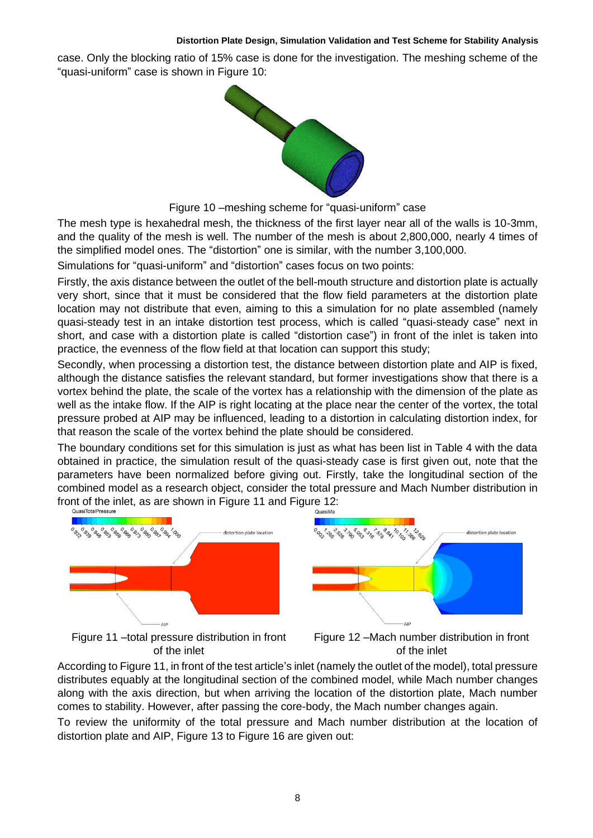case. Only the blocking ratio of 15% case is done for the investigation. The meshing scheme of the "quasi-uniform" case is shown in Figure 10:



Figure 10 –meshing scheme for "quasi-uniform" case

The mesh type is hexahedral mesh, the thickness of the first layer near all of the walls is 10-3mm, and the quality of the mesh is well. The number of the mesh is about 2,800,000, nearly 4 times of the simplified model ones. The "distortion" one is similar, with the number 3,100,000.

Simulations for "quasi-uniform" and "distortion" cases focus on two points:

Firstly, the axis distance between the outlet of the bell-mouth structure and distortion plate is actually very short, since that it must be considered that the flow field parameters at the distortion plate location may not distribute that even, aiming to this a simulation for no plate assembled (namely quasi-steady test in an intake distortion test process, which is called "quasi-steady case" next in short, and case with a distortion plate is called "distortion case") in front of the inlet is taken into practice, the evenness of the flow field at that location can support this study;

Secondly, when processing a distortion test, the distance between distortion plate and AIP is fixed, although the distance satisfies the relevant standard, but former investigations show that there is a vortex behind the plate, the scale of the vortex has a relationship with the dimension of the plate as well as the intake flow. If the AIP is right locating at the place near the center of the vortex, the total pressure probed at AIP may be influenced, leading to a distortion in calculating distortion index, for that reason the scale of the vortex behind the plate should be considered.

The boundary conditions set for this simulation is just as what has been list in Table 4 with the data obtained in practice, the simulation result of the quasi-steady case is first given out, note that the parameters have been normalized before giving out. Firstly, take the longitudinal section of the combined model as a research object, consider the total pressure and Mach Number distribution in front of the inlet, as are shown in Figure 11 and Figure 12:<br>
QuasiTotalPressure





Figure 11 –total pressure distribution in front of the inlet

Figure 12 –Mach number distribution in front of the inlet

According to Figure 11, in front of the test article's inlet (namely the outlet of the model), total pressure distributes equably at the longitudinal section of the combined model, while Mach number changes along with the axis direction, but when arriving the location of the distortion plate, Mach number comes to stability. However, after passing the core-body, the Mach number changes again.

To review the uniformity of the total pressure and Mach number distribution at the location of distortion plate and AIP, Figure 13 to Figure 16 are given out: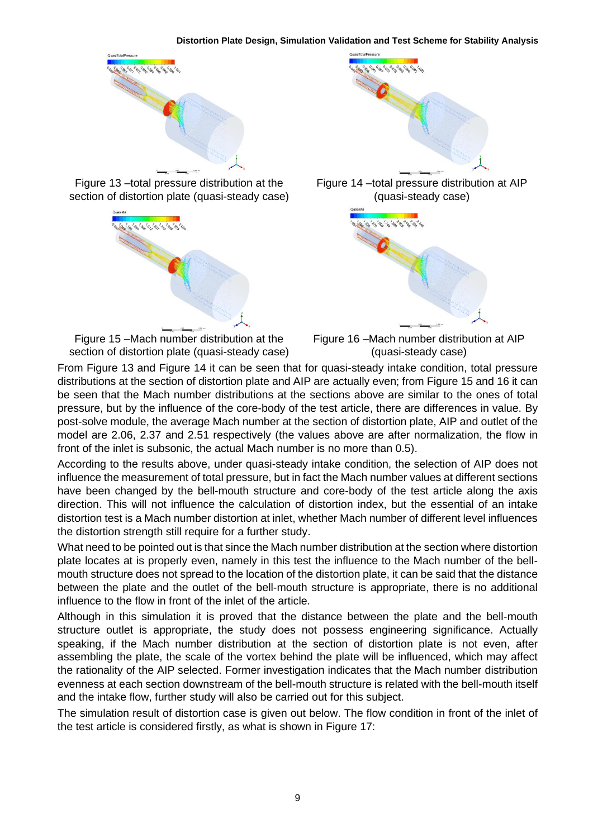

Figure 13 –total pressure distribution at the section of distortion plate (quasi-steady case)



Figure 15 –Mach number distribution at the section of distortion plate (quasi-steady case)



Figure 14 –total pressure distribution at AIP (quasi-steady case)



Figure 16 –Mach number distribution at AIP (quasi-steady case)

From Figure 13 and Figure 14 it can be seen that for quasi-steady intake condition, total pressure distributions at the section of distortion plate and AIP are actually even; from Figure 15 and 16 it can be seen that the Mach number distributions at the sections above are similar to the ones of total pressure, but by the influence of the core-body of the test article, there are differences in value. By post-solve module, the average Mach number at the section of distortion plate, AIP and outlet of the model are 2.06, 2.37 and 2.51 respectively (the values above are after normalization, the flow in front of the inlet is subsonic, the actual Mach number is no more than 0.5).

According to the results above, under quasi-steady intake condition, the selection of AIP does not influence the measurement of total pressure, but in fact the Mach number values at different sections have been changed by the bell-mouth structure and core-body of the test article along the axis direction. This will not influence the calculation of distortion index, but the essential of an intake distortion test is a Mach number distortion at inlet, whether Mach number of different level influences the distortion strength still require for a further study.

What need to be pointed out is that since the Mach number distribution at the section where distortion plate locates at is properly even, namely in this test the influence to the Mach number of the bellmouth structure does not spread to the location of the distortion plate, it can be said that the distance between the plate and the outlet of the bell-mouth structure is appropriate, there is no additional influence to the flow in front of the inlet of the article.

Although in this simulation it is proved that the distance between the plate and the bell-mouth structure outlet is appropriate, the study does not possess engineering significance. Actually speaking, if the Mach number distribution at the section of distortion plate is not even, after assembling the plate, the scale of the vortex behind the plate will be influenced, which may affect the rationality of the AIP selected. Former investigation indicates that the Mach number distribution evenness at each section downstream of the bell-mouth structure is related with the bell-mouth itself and the intake flow, further study will also be carried out for this subject.

The simulation result of distortion case is given out below. The flow condition in front of the inlet of the test article is considered firstly, as what is shown in Figure 17: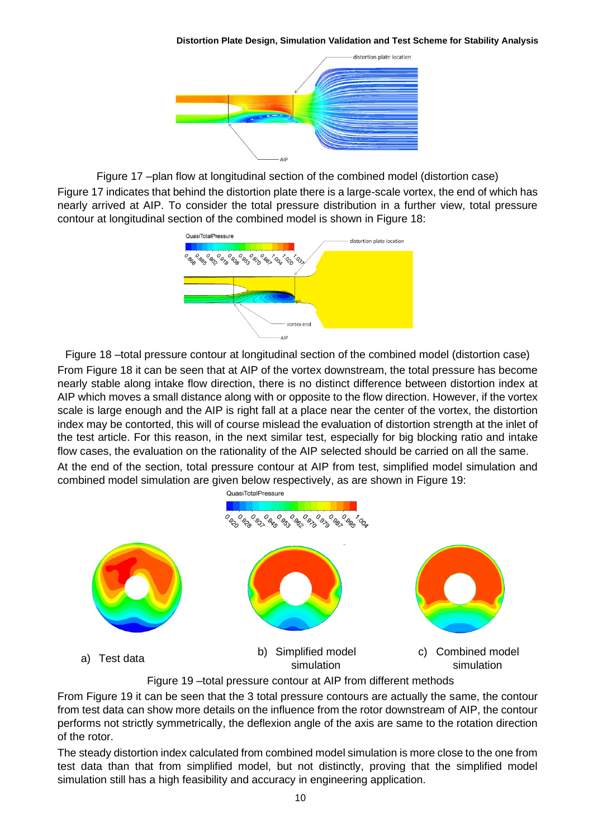**Distortion Plate Design, Simulation Validation and Test Scheme for Stability Analysis**



Figure 17 –plan flow at longitudinal section of the combined model (distortion case) Figure 17 indicates that behind the distortion plate there is a large-scale vortex, the end of which has nearly arrived at AIP. To consider the total pressure distribution in a further view, total pressure contour at longitudinal section of the combined model is shown in Figure 18:



Figure 18 –total pressure contour at longitudinal section of the combined model (distortion case) From Figure 18 it can be seen that at AIP of the vortex downstream, the total pressure has become nearly stable along intake flow direction, there is no distinct difference between distortion index at AIP which moves a small distance along with or opposite to the flow direction. However, if the vortex scale is large enough and the AIP is right fall at a place near the center of the vortex, the distortion index may be contorted, this will of course mislead the evaluation of distortion strength at the inlet of the test article. For this reason, in the next similar test, especially for big blocking ratio and intake flow cases, the evaluation on the rationality of the AIP selected should be carried on all the same. At the end of the section, total pressure contour at AIP from test, simplified model simulation and combined model simulation are given below respectively, as are shown in Figure 19:



Figure 19 –total pressure contour at AIP from different methods

From Figure 19 it can be seen that the 3 total pressure contours are actually the same, the contour from test data can show more details on the influence from the rotor downstream of AIP, the contour performs not strictly symmetrically, the deflexion angle of the axis are same to the rotation direction of the rotor.

The steady distortion index calculated from combined model simulation is more close to the one from test data than that from simplified model, but not distinctly, proving that the simplified model simulation still has a high feasibility and accuracy in engineering application.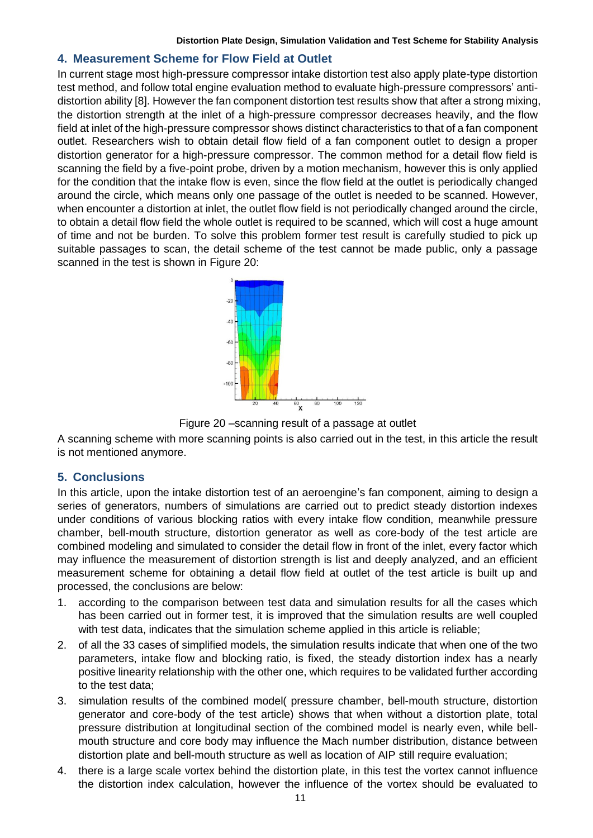## **4. Measurement Scheme for Flow Field at Outlet**

In current stage most high-pressure compressor intake distortion test also apply plate-type distortion test method, and follow total engine evaluation method to evaluate high-pressure compressors' antidistortion ability [8]. However the fan component distortion test results show that after a strong mixing, the distortion strength at the inlet of a high-pressure compressor decreases heavily, and the flow field at inlet of the high-pressure compressor shows distinct characteristics to that of a fan component outlet. Researchers wish to obtain detail flow field of a fan component outlet to design a proper distortion generator for a high-pressure compressor. The common method for a detail flow field is scanning the field by a five-point probe, driven by a motion mechanism, however this is only applied for the condition that the intake flow is even, since the flow field at the outlet is periodically changed around the circle, which means only one passage of the outlet is needed to be scanned. However, when encounter a distortion at inlet, the outlet flow field is not periodically changed around the circle, to obtain a detail flow field the whole outlet is required to be scanned, which will cost a huge amount of time and not be burden. To solve this problem former test result is carefully studied to pick up suitable passages to scan, the detail scheme of the test cannot be made public, only a passage scanned in the test is shown in Figure 20:



Figure 20 –scanning result of a passage at outlet

A scanning scheme with more scanning points is also carried out in the test, in this article the result is not mentioned anymore.

### **5. Conclusions**

In this article, upon the intake distortion test of an aeroengine's fan component, aiming to design a series of generators, numbers of simulations are carried out to predict steady distortion indexes under conditions of various blocking ratios with every intake flow condition, meanwhile pressure chamber, bell-mouth structure, distortion generator as well as core-body of the test article are combined modeling and simulated to consider the detail flow in front of the inlet, every factor which may influence the measurement of distortion strength is list and deeply analyzed, and an efficient measurement scheme for obtaining a detail flow field at outlet of the test article is built up and processed, the conclusions are below:

- 1. according to the comparison between test data and simulation results for all the cases which has been carried out in former test, it is improved that the simulation results are well coupled with test data, indicates that the simulation scheme applied in this article is reliable;
- 2. of all the 33 cases of simplified models, the simulation results indicate that when one of the two parameters, intake flow and blocking ratio, is fixed, the steady distortion index has a nearly positive linearity relationship with the other one, which requires to be validated further according to the test data;
- 3. simulation results of the combined model( pressure chamber, bell-mouth structure, distortion generator and core-body of the test article) shows that when without a distortion plate, total pressure distribution at longitudinal section of the combined model is nearly even, while bellmouth structure and core body may influence the Mach number distribution, distance between distortion plate and bell-mouth structure as well as location of AIP still require evaluation;
- 4. there is a large scale vortex behind the distortion plate, in this test the vortex cannot influence the distortion index calculation, however the influence of the vortex should be evaluated to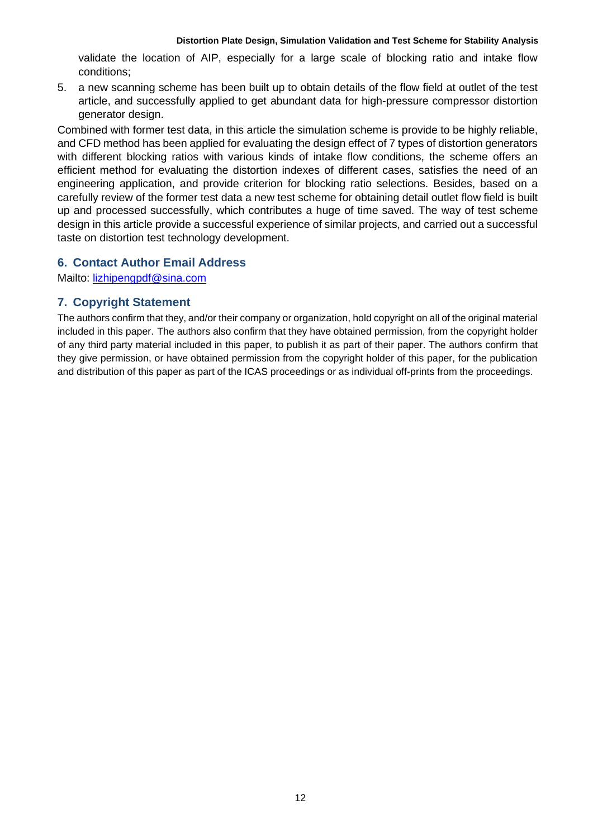validate the location of AIP, especially for a large scale of blocking ratio and intake flow conditions;

5. a new scanning scheme has been built up to obtain details of the flow field at outlet of the test article, and successfully applied to get abundant data for high-pressure compressor distortion generator design.

Combined with former test data, in this article the simulation scheme is provide to be highly reliable, and CFD method has been applied for evaluating the design effect of 7 types of distortion generators with different blocking ratios with various kinds of intake flow conditions, the scheme offers an efficient method for evaluating the distortion indexes of different cases, satisfies the need of an engineering application, and provide criterion for blocking ratio selections. Besides, based on a carefully review of the former test data a new test scheme for obtaining detail outlet flow field is built up and processed successfully, which contributes a huge of time saved. The way of test scheme design in this article provide a successful experience of similar projects, and carried out a successful taste on distortion test technology development.

## **6. Contact Author Email Address**

Mailto: [lizhipengpdf@sina.com](mailto:lizhipengpdf@sina.com)

## **7. Copyright Statement**

The authors confirm that they, and/or their company or organization, hold copyright on all of the original material included in this paper. The authors also confirm that they have obtained permission, from the copyright holder of any third party material included in this paper, to publish it as part of their paper. The authors confirm that they give permission, or have obtained permission from the copyright holder of this paper, for the publication and distribution of this paper as part of the ICAS proceedings or as individual off-prints from the proceedings.